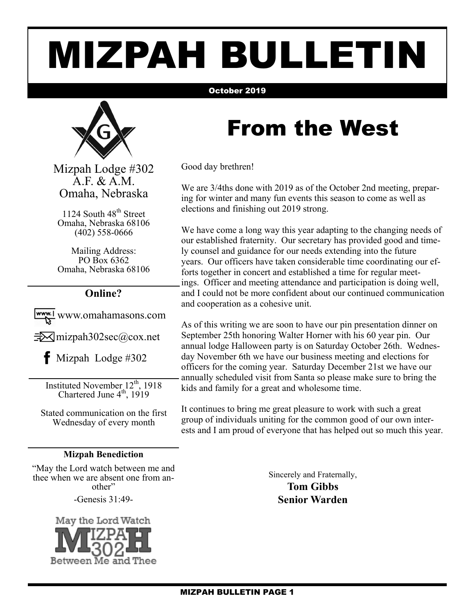# MIZPAH BULLETIN

#### October 2019



Mizpah Lodge #302 A.F. & A.M. Omaha, Nebraska

1124 South 48<sup>th</sup> Street Omaha, Nebraska 68106 (402) 558-0666

Mailing Address: PO Box 6362 Omaha, Nebraska 68106

#### **Online?**

www.omahamasons.com  $\exists\forall$  mizpah302sec@cox.net

 $\bullet$  Mizpah Lodge #302

Instituted November 12<sup>th</sup>, 1918 Chartered June  $4<sup>th</sup>$ , 1919

Stated communication on the first Wednesday of every month

#### **Mizpah Benediction**

"May the Lord watch between me and thee when we are absent one from another"

-Genesis 31:49-



### From the West

Good day brethren!

We are 3/4ths done with 2019 as of the October 2nd meeting, preparing for winter and many fun events this season to come as well as elections and finishing out 2019 strong.

We have come a long way this year adapting to the changing needs of our established fraternity. Our secretary has provided good and timely counsel and guidance for our needs extending into the future years. Our officers have taken considerable time coordinating our efforts together in concert and established a time for regular meetings. Officer and meeting attendance and participation is doing well, and I could not be more confident about our continued communication and cooperation as a cohesive unit.

As of this writing we are soon to have our pin presentation dinner on September 25th honoring Walter Horner with his 60 year pin. Our annual lodge Halloween party is on Saturday October 26th. Wednesday November 6th we have our business meeting and elections for officers for the coming year. Saturday December 21st we have our annually scheduled visit from Santa so please make sure to bring the kids and family for a great and wholesome time.

It continues to bring me great pleasure to work with such a great group of individuals uniting for the common good of our own interests and I am proud of everyone that has helped out so much this year.

Sincerely and Fraternally,

**Tom Gibbs Senior Warden**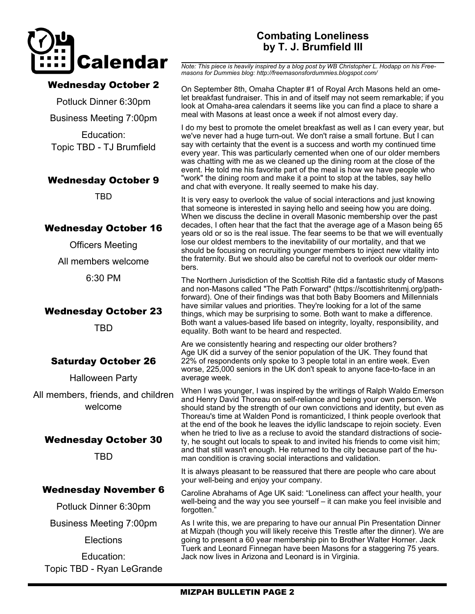

#### Wednesday October 2

Potluck Dinner 6:30pm Business Meeting 7:00pm

Education: Topic TBD - TJ Brumfield

#### Wednesday October 9

TBD

#### Wednesday October 16

Officers Meeting

All members welcome

6:30 PM

#### Wednesday October 23

TBD

#### Saturday October 26

Halloween Party

All members, friends, and children welcome

#### Wednesday October 30

TBD

#### Wednesday November 6

Potluck Dinner 6:30pm

Business Meeting 7:00pm

**Elections** 

Education: Topic TBD - Ryan LeGrande

#### **Combating Loneliness by T. J. Brumfield III**

*Note: This piece is heavily inspired by a blog post by WB Christopher L. Hodapp on his Freemasons for Dummies blog: http://freemasonsfordummies.blogspot.com/*

On September 8th, Omaha Chapter #1 of Royal Arch Masons held an omelet breakfast fundraiser. This in and of itself may not seem remarkable; if you look at Omaha-area calendars it seems like you can find a place to share a meal with Masons at least once a week if not almost every day.

I do my best to promote the omelet breakfast as well as I can every year, but we've never had a huge turn-out. We don't raise a small fortune. But I can say with certainty that the event is a success and worth my continued time every year. This was particularly cemented when one of our older members was chatting with me as we cleaned up the dining room at the close of the event. He told me his favorite part of the meal is how we have people who "work" the dining room and make it a point to stop at the tables, say hello and chat with everyone. It really seemed to make his day.

It is very easy to overlook the value of social interactions and just knowing that someone is interested in saying hello and seeing how you are doing. When we discuss the decline in overall Masonic membership over the past decades, I often hear that the fact that the average age of a Mason being 65 years old or so is the real issue. The fear seems to be that we will eventually lose our oldest members to the inevitability of our mortality, and that we should be focusing on recruiting younger members to inject new vitality into the fraternity. But we should also be careful not to overlook our older members.

The Northern Jurisdiction of the Scottish Rite did a fantastic study of Masons and non-Masons called "The Path Forward" (https://scottishritenmj.org/pathforward). One of their findings was that both Baby Boomers and Millennials have similar values and priorities. They're looking for a lot of the same things, which may be surprising to some. Both want to make a difference. Both want a values-based life based on integrity, loyalty, responsibility, and equality. Both want to be heard and respected.

Are we consistently hearing and respecting our older brothers? Age UK did a survey of the senior population of the UK. They found that 22% of respondents only spoke to 3 people total in an entire week. Even worse, 225,000 seniors in the UK don't speak to anyone face-to-face in an average week.

When I was younger, I was inspired by the writings of Ralph Waldo Emerson and Henry David Thoreau on self-reliance and being your own person. We should stand by the strength of our own convictions and identity, but even as Thoreau's time at Walden Pond is romanticized, I think people overlook that at the end of the book he leaves the idyllic landscape to rejoin society. Even when he tried to live as a recluse to avoid the standard distractions of society, he sought out locals to speak to and invited his friends to come visit him; and that still wasn't enough. He returned to the city because part of the human condition is craving social interactions and validation.

It is always pleasant to be reassured that there are people who care about your well-being and enjoy your company.

Caroline Abrahams of Age UK said: "Loneliness can affect your health, your well-being and the way you see yourself – it can make you feel invisible and forgotten."

As I write this, we are preparing to have our annual Pin Presentation Dinner at Mizpah (though you will likely receive this Trestle after the dinner). We are going to present a 60 year membership pin to Brother Walter Horner. Jack Tuerk and Leonard Finnegan have been Masons for a staggering 75 years. Jack now lives in Arizona and Leonard is in Virginia.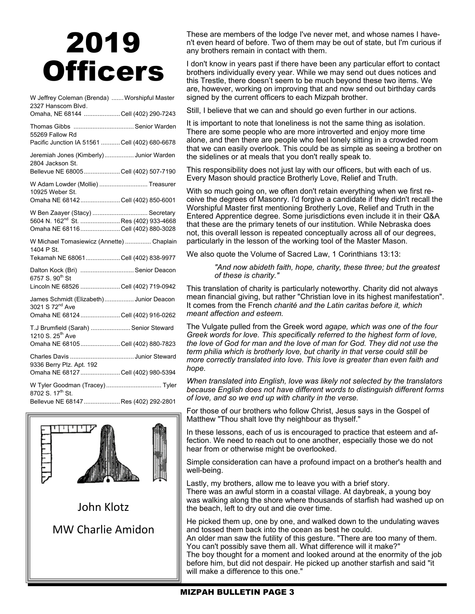## 2019 **Officers**

| W Jeffrey Coleman (Brenda)  Worshipful Master<br>2327 Hanscom Blvd.                                                       |  |
|---------------------------------------------------------------------------------------------------------------------------|--|
| Omaha, NE 68144 Cell (402) 290-7243                                                                                       |  |
| Thomas Gibbs  Senior Warden<br>55269 Fallow Rd                                                                            |  |
| Pacific Junction IA 51561  Cell (402) 680-6678                                                                            |  |
| Jeremiah Jones (Kimberly) Junior Warden<br>2804 Jackson St.<br>Bellevue NE 68005  Cell (402) 507-7190                     |  |
| W Adam Lowder (Mollie)  Treasurer<br>10925 Weber St.<br>Omaha NE 68142 Cell (402) 850-6001                                |  |
|                                                                                                                           |  |
| W Ben Zaayer (Stacy)  Secretary<br>5604 N. 162 <sup>nd</sup> St.  Res (402) 933-4668<br>Omaha NE 68116Cell (402) 880-3028 |  |
| W Michael Tomasiewicz (Annette)  Chaplain<br>1404 P St.                                                                   |  |
| Tekamah NE 68061Cell (402) 838-9977                                                                                       |  |
| Dalton Kock (Bri)  Senior Deacon<br>6757 S. 90 <sup>th</sup> St                                                           |  |
| Lincoln NE 68526 Cell (402) 719-0942                                                                                      |  |
| James Schmidt (Elizabeth) Junior Deacon<br>3021 S 72 <sup>nd</sup> Ave                                                    |  |
| Omaha NE 68124 Cell (402) 916-0262                                                                                        |  |
| T.J Brumfield (Sarah)  Senior Steward<br>1210 S. 25 <sup>th</sup> Ave                                                     |  |
| Omaha NE 68105 Cell (402) 880-7823                                                                                        |  |
| 9336 Berry Plz. Apt. 192                                                                                                  |  |
| Omaha NE 68127 Cell (402) 980-5394                                                                                        |  |
| W Tyler Goodman (Tracey)  Tyler<br>8702 S. 17th St.                                                                       |  |
| Bellevue NE 68147  Res (402) 292-2801                                                                                     |  |



These are members of the lodge I've never met, and whose names I haven't even heard of before. Two of them may be out of state, but I'm curious if any brothers remain in contact with them.

I don't know in years past if there have been any particular effort to contact brothers individually every year. While we may send out dues notices and this Trestle, there doesn't seem to be much beyond these two items. We are, however, working on improving that and now send out birthday cards signed by the current officers to each Mizpah brother.

Still, I believe that we can and should go even further in our actions.

It is important to note that loneliness is not the same thing as isolation. There are some people who are more introverted and enjoy more time alone, and then there are people who feel lonely sitting in a crowded room that we can easily overlook. This could be as simple as seeing a brother on the sidelines or at meals that you don't really speak to.

This responsibility does not just lay with our officers, but with each of us. Every Mason should practice Brotherly Love, Relief and Truth.

With so much going on, we often don't retain everything when we first receive the degrees of Masonry. I'd forgive a candidate if they didn't recall the Worshipful Master first mentioning Brotherly Love, Relief and Truth in the Entered Apprentice degree. Some jurisdictions even include it in their Q&A that these are the primary tenets of our institution. While Nebraska does not, this overall lesson is repeated conceptually across all of our degrees, particularly in the lesson of the working tool of the Master Mason.

We also quote the Volume of Sacred Law, 1 Corinthians 13:13:

*"And now abideth faith, hope, charity, these three; but the greatest of these is charity."*

This translation of charity is particularly noteworthy. Charity did not always mean financial giving, but rather "Christian love in its highest manifestation". It comes from the French *charité and the Latin caritas before it, which meant affection and esteem.*

The Vulgate pulled from the Greek word *agape, which was one of the four Greek words for love. This specifically referred to the highest form of love, the love of God for man and the love of man for God. They did not use the term philia which is brotherly love, but charity in that verse could still be more correctly translated into love. This love is greater than even faith and hope.* 

*When translated into English, love was likely not selected by the translators because English does not have different words to distinguish different forms of love, and so we end up with charity in the verse.* 

For those of our brothers who follow Christ, Jesus says in the Gospel of Matthew "Thou shalt love thy neighbour as thyself."

In these lessons, each of us is encouraged to practice that esteem and affection. We need to reach out to one another, especially those we do not hear from or otherwise might be overlooked.

Simple consideration can have a profound impact on a brother's health and well-being.

Lastly, my brothers, allow me to leave you with a brief story. There was an awful storm in a coastal village. At daybreak, a young boy was walking along the shore where thousands of starfish had washed up on the beach, left to dry out and die over time.

He picked them up, one by one, and walked down to the undulating waves and tossed them back into the ocean as best he could.

An older man saw the futility of this gesture. "There are too many of them. You can't possibly save them all. What difference will it make?"

The boy thought for a moment and looked around at the enormity of the job before him, but did not despair. He picked up another starfish and said "it will make a difference to this one."